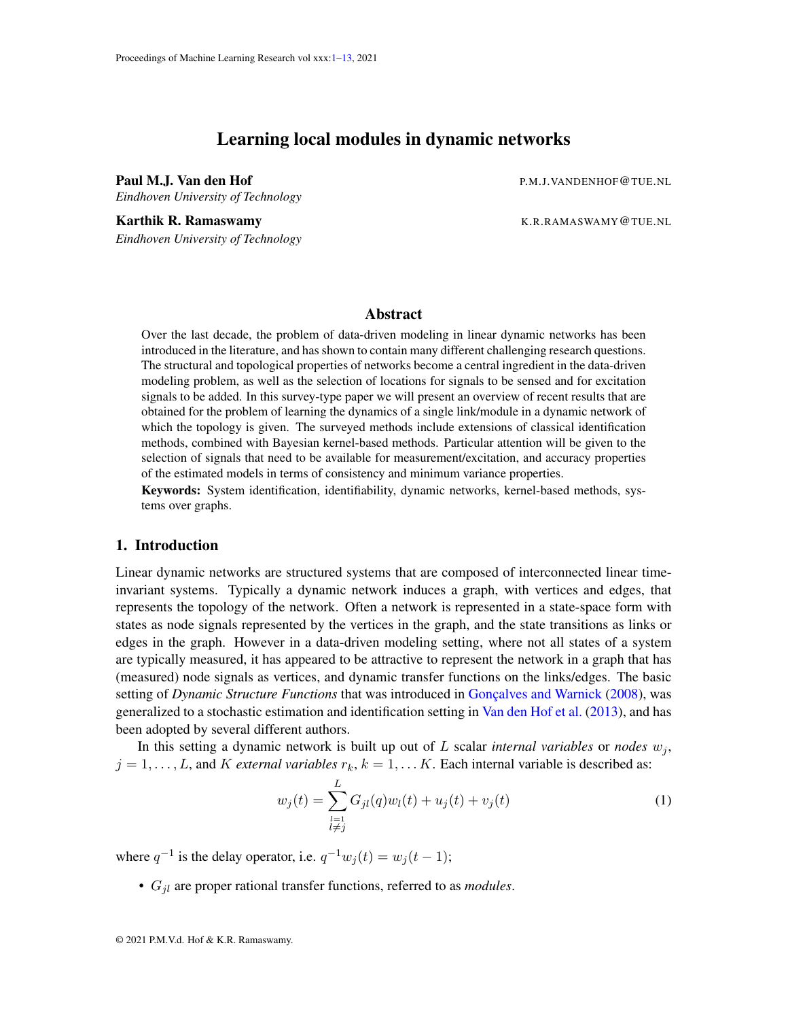# Learning local modules in dynamic networks

<span id="page-0-0"></span>Paul M.J. Van den Hof Personalism en een van de producties en producties producties producties and production  $P$ *Eindhoven University of Technology*

Karthik R. Ramaswamy The Communication of the K.R.RAMASWAMY @TUE.NL *Eindhoven University of Technology*

# **Abstract**

Over the last decade, the problem of data-driven modeling in linear dynamic networks has been introduced in the literature, and has shown to contain many different challenging research questions. The structural and topological properties of networks become a central ingredient in the data-driven modeling problem, as well as the selection of locations for signals to be sensed and for excitation signals to be added. In this survey-type paper we will present an overview of recent results that are obtained for the problem of learning the dynamics of a single link/module in a dynamic network of which the topology is given. The surveyed methods include extensions of classical identification methods, combined with Bayesian kernel-based methods. Particular attention will be given to the selection of signals that need to be available for measurement/excitation, and accuracy properties of the estimated models in terms of consistency and minimum variance properties.

Keywords: System identification, identifiability, dynamic networks, kernel-based methods, systems over graphs.

### 1. Introduction

Linear dynamic networks are structured systems that are composed of interconnected linear timeinvariant systems. Typically a dynamic network induces a graph, with vertices and edges, that represents the topology of the network. Often a network is represented in a state-space form with states as node signals represented by the vertices in the graph, and the state transitions as links or edges in the graph. However in a data-driven modeling setting, where not all states of a system are typically measured, it has appeared to be attractive to represent the network in a graph that has (measured) node signals as vertices, and dynamic transfer functions on the links/edges. The basic setting of *Dynamic Structure Functions* that was introduced in Goncalves and Warnick [\(2008\)](#page-11-0), was generalized to a stochastic estimation and identification setting in [Van den Hof et al.](#page-11-1) [\(2013\)](#page-11-1), and has been adopted by several different authors.

In this setting a dynamic network is built up out of  $L$  scalar *internal variables* or *nodes*  $w_i$ ,  $j = 1, \ldots, L$ , and K *external variables*  $r_k, k = 1, \ldots K$ . Each internal variable is described as:

$$
w_j(t) = \sum_{\substack{l=1\\l \neq j}}^L G_{jl}(q)w_l(t) + u_j(t) + v_j(t)
$$
 (1)

where  $q^{-1}$  is the delay operator, i.e.  $q^{-1}w_j(t) = w_j(t-1)$ ;

• Gjl are proper rational transfer functions, referred to as *modules*.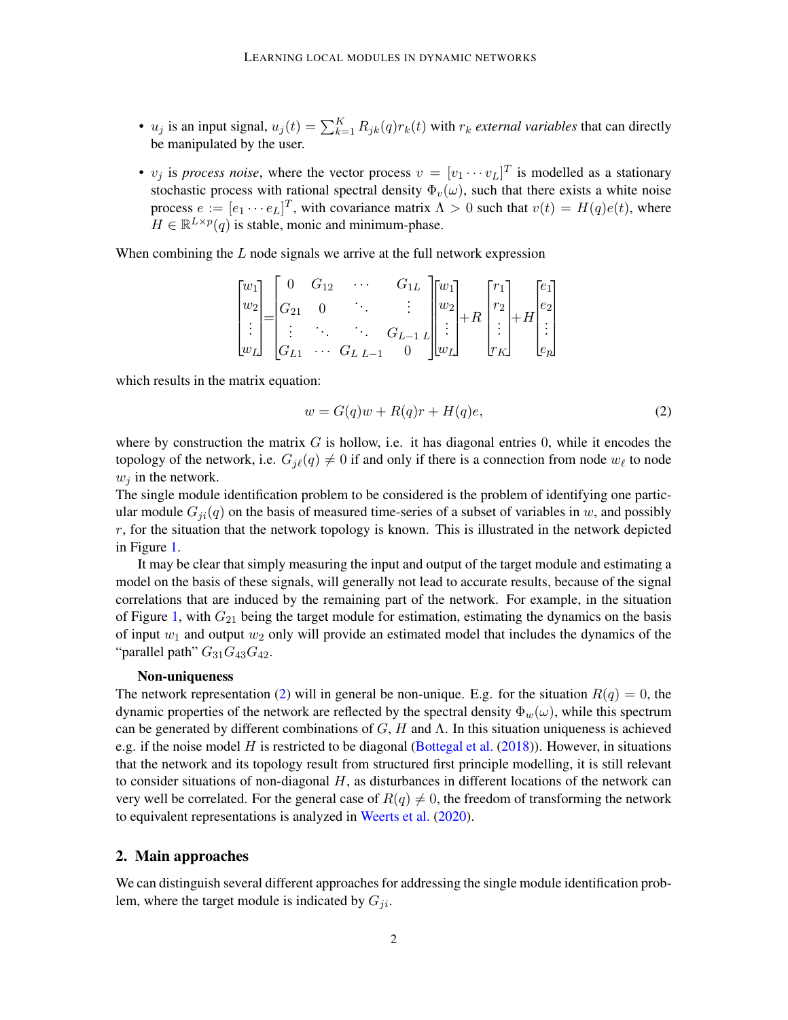- $u_j$  is an input signal,  $u_j(t) = \sum_{k=1}^{K} R_{jk}(q) r_k(t)$  with  $r_k$  *external variables* that can directly be manipulated by the user.
- $v_j$  is *process noise*, where the vector process  $v = [v_1 \cdots v_L]^T$  is modelled as a stationary stochastic process with rational spectral density  $\Phi_v(\omega)$ , such that there exists a white noise process  $e := [e_1 \cdots e_L]^T$ , with covariance matrix  $\Lambda > 0$  such that  $v(t) = H(q)e(t)$ , where  $H \in \mathbb{R}^{L \times p}(q)$  is stable, monic and minimum-phase.

When combining the  $L$  node signals we arrive at the full network expression

$$
\begin{bmatrix} w_1 \\ w_2 \\ \vdots \\ w_L \end{bmatrix} = \begin{bmatrix} 0 & G_{12} & \cdots & G_{1L} \\ G_{21} & 0 & \ddots & \vdots \\ \vdots & \ddots & \ddots & G_{L-1} \\ G_{L1} & \cdots & G_{L} & \cdots & G_{L-1} \end{bmatrix} \begin{bmatrix} w_1 \\ w_2 \\ \vdots \\ w_L \end{bmatrix} + R \begin{bmatrix} r_1 \\ r_2 \\ \vdots \\ r_K \end{bmatrix} + H \begin{bmatrix} e_1 \\ e_2 \\ \vdots \\ e_p \end{bmatrix}
$$

which results in the matrix equation:

<span id="page-1-0"></span>
$$
w = G(q)w + R(q)r + H(q)e,
$$
\n(2)

where by construction the matrix  $G$  is hollow, i.e. it has diagonal entries 0, while it encodes the topology of the network, i.e.  $G_{j\ell}(q) \neq 0$  if and only if there is a connection from node  $w_{\ell}$  to node  $w_i$  in the network.

The single module identification problem to be considered is the problem of identifying one particular module  $G_{ji}(q)$  on the basis of measured time-series of a subset of variables in w, and possibly  $r$ , for the situation that the network topology is known. This is illustrated in the network depicted in Figure [1.](#page-2-0)

It may be clear that simply measuring the input and output of the target module and estimating a model on the basis of these signals, will generally not lead to accurate results, because of the signal correlations that are induced by the remaining part of the network. For example, in the situation of Figure [1,](#page-2-0) with  $G_{21}$  being the target module for estimation, estimating the dynamics on the basis of input  $w_1$  and output  $w_2$  only will provide an estimated model that includes the dynamics of the "parallel path"  $G_{31}G_{43}G_{42}$ .

#### Non-uniqueness

The network representation [\(2\)](#page-1-0) will in general be non-unique. E.g. for the situation  $R(q) = 0$ , the dynamic properties of the network are reflected by the spectral density  $\Phi_w(\omega)$ , while this spectrum can be generated by different combinations of  $G$ ,  $H$  and  $\Lambda$ . In this situation uniqueness is achieved e.g. if the noise model H is restricted to be diagonal [\(Bottegal et al.](#page-10-0) [\(2018\)](#page-10-0)). However, in situations that the network and its topology result from structured first principle modelling, it is still relevant to consider situations of non-diagonal  $H$ , as disturbances in different locations of the network can very well be correlated. For the general case of  $R(q) \neq 0$ , the freedom of transforming the network to equivalent representations is analyzed in [Weerts et al.](#page-12-1) [\(2020\)](#page-12-1).

### 2. Main approaches

We can distinguish several different approaches for addressing the single module identification problem, where the target module is indicated by  $G_{ji}$ .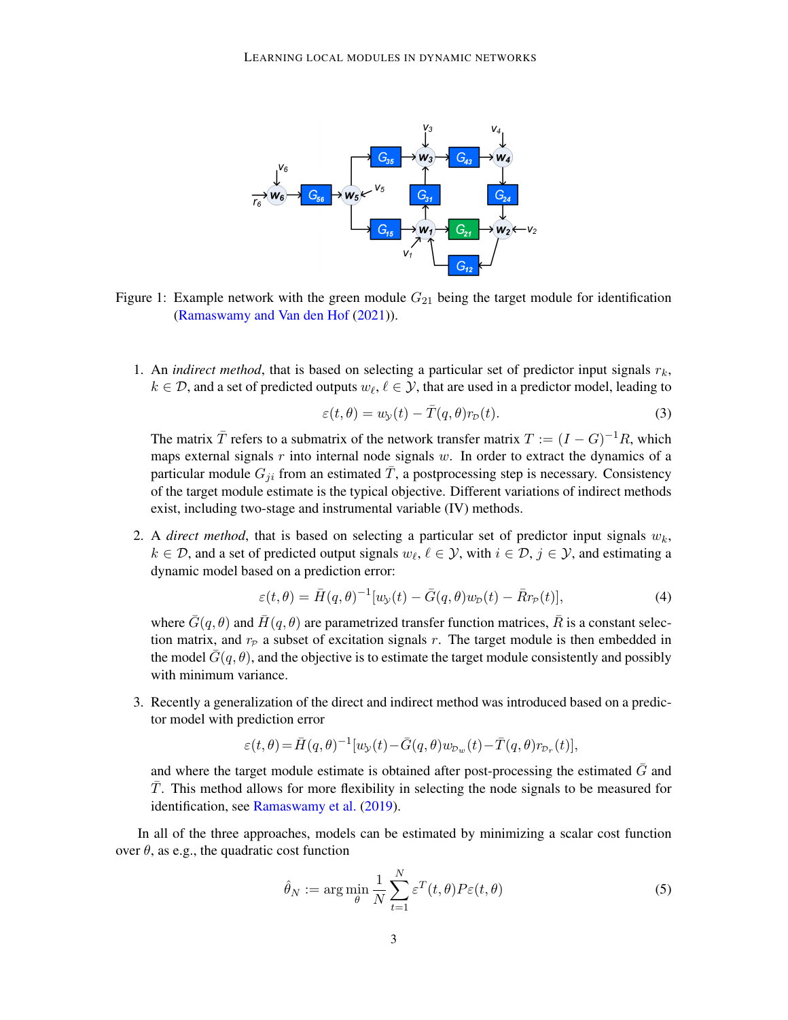

<span id="page-2-0"></span>Figure 1: Example network with the green module  $G_{21}$  being the target module for identification [\(Ramaswamy and Van den Hof](#page-11-2) [\(2021\)](#page-11-2)).

1. An *indirect method*, that is based on selecting a particular set of predictor input signals  $r_k$ ,  $k \in \mathcal{D}$ , and a set of predicted outputs  $w_{\ell}, \ell \in \mathcal{Y}$ , that are used in a predictor model, leading to

<span id="page-2-2"></span>
$$
\varepsilon(t,\theta) = w_{\mathcal{Y}}(t) - \bar{T}(q,\theta)r_{\mathcal{D}}(t). \tag{3}
$$

The matrix  $\overline{T}$  refers to a submatrix of the network transfer matrix  $T := (I - G)^{-1}R$ , which maps external signals  $r$  into internal node signals  $w$ . In order to extract the dynamics of a particular module  $G_{ji}$  from an estimated  $\overline{T}$ , a postprocessing step is necessary. Consistency of the target module estimate is the typical objective. Different variations of indirect methods exist, including two-stage and instrumental variable (IV) methods.

2. A *direct method*, that is based on selecting a particular set of predictor input signals  $w_k$ ,  $k \in \mathcal{D}$ , and a set of predicted output signals  $w_{\ell}, \ell \in \mathcal{Y}$ , with  $i \in \mathcal{D}, j \in \mathcal{Y}$ , and estimating a dynamic model based on a prediction error:

<span id="page-2-1"></span>
$$
\varepsilon(t,\theta) = \bar{H}(q,\theta)^{-1}[w_{\mathcal{Y}}(t) - \bar{G}(q,\theta)w_{\mathcal{D}}(t) - \bar{R}r_{\mathcal{P}}(t)],\tag{4}
$$

where  $\bar{G}(q, \theta)$  and  $\bar{H}(q, \theta)$  are parametrized transfer function matrices,  $\bar{R}$  is a constant selection matrix, and  $r_p$  a subset of excitation signals r. The target module is then embedded in the model  $\bar{G}(q, \theta)$ , and the objective is to estimate the target module consistently and possibly with minimum variance.

3. Recently a generalization of the direct and indirect method was introduced based on a predictor model with prediction error

<span id="page-2-3"></span>
$$
\varepsilon(t,\theta)\!=\!\bar H(q,\theta)^{-1}[w_{\!\scriptscriptstyle\mathcal{Y}}(t)\!-\!\bar G(q,\theta)w_{\!\scriptscriptstyle D_w}(t)\!-\!\bar T(q,\theta)r_{\!\scriptscriptstyle D_r}(t)],
$$

and where the target module estimate is obtained after post-processing the estimated  $\bar{G}$  and  $\overline{T}$ . This method allows for more flexibility in selecting the node signals to be measured for identification, see [Ramaswamy et al.](#page-11-3) [\(2019\)](#page-11-3).

In all of the three approaches, models can be estimated by minimizing a scalar cost function over  $\theta$ , as e.g., the quadratic cost function

$$
\hat{\theta}_N := \arg\min_{\theta} \frac{1}{N} \sum_{t=1}^N \varepsilon^T(t, \theta) P \varepsilon(t, \theta)
$$
\n(5)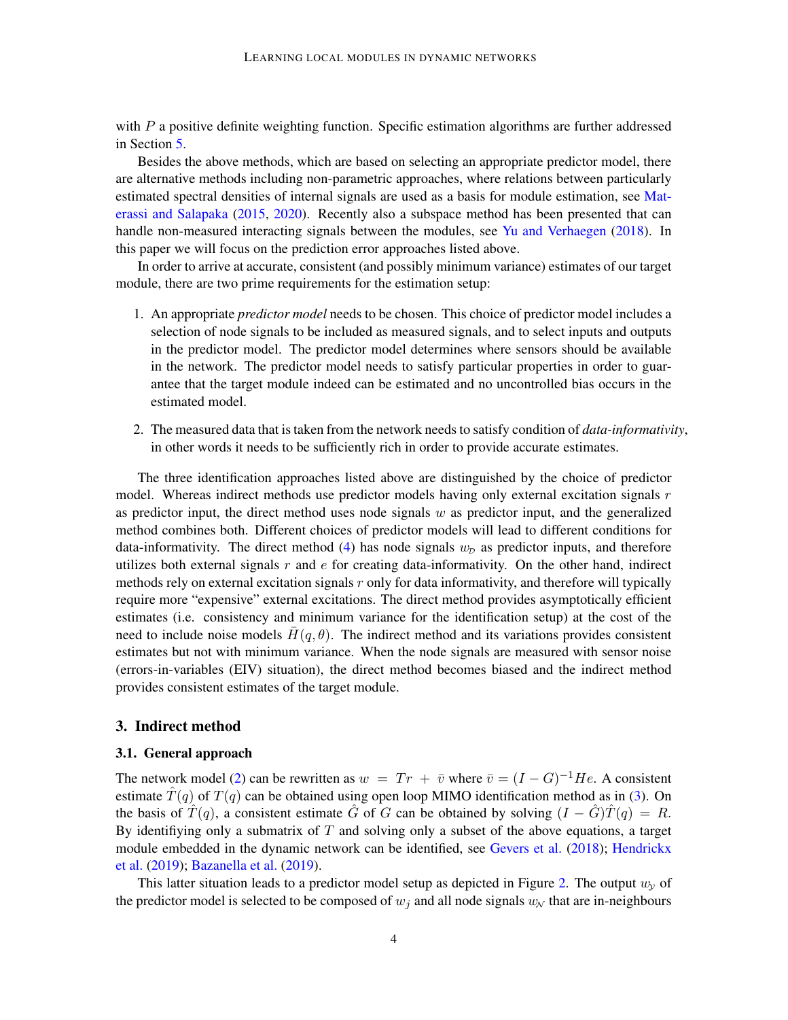with  $P$  a positive definite weighting function. Specific estimation algorithms are further addressed in Section [5.](#page-9-0)

Besides the above methods, which are based on selecting an appropriate predictor model, there are alternative methods including non-parametric approaches, where relations between particularly estimated spectral densities of internal signals are used as a basis for module estimation, see [Mat](#page-11-4)[erassi and Salapaka](#page-11-4) [\(2015,](#page-11-4) [2020\)](#page-11-5). Recently also a subspace method has been presented that can handle non-measured interacting signals between the modules, see [Yu and Verhaegen](#page-12-2) [\(2018\)](#page-12-2). In this paper we will focus on the prediction error approaches listed above.

In order to arrive at accurate, consistent (and possibly minimum variance) estimates of our target module, there are two prime requirements for the estimation setup:

- 1. An appropriate *predictor model* needs to be chosen. This choice of predictor model includes a selection of node signals to be included as measured signals, and to select inputs and outputs in the predictor model. The predictor model determines where sensors should be available in the network. The predictor model needs to satisfy particular properties in order to guarantee that the target module indeed can be estimated and no uncontrolled bias occurs in the estimated model.
- 2. The measured data that is taken from the network needs to satisfy condition of *data-informativity*, in other words it needs to be sufficiently rich in order to provide accurate estimates.

The three identification approaches listed above are distinguished by the choice of predictor model. Whereas indirect methods use predictor models having only external excitation signals  $r$ as predictor input, the direct method uses node signals  $w$  as predictor input, and the generalized method combines both. Different choices of predictor models will lead to different conditions for data-informativity. The direct method [\(4\)](#page-2-1) has node signals  $w<sub>D</sub>$  as predictor inputs, and therefore utilizes both external signals  $r$  and  $e$  for creating data-informativity. On the other hand, indirect methods rely on external excitation signals  $r$  only for data informativity, and therefore will typically require more "expensive" external excitations. The direct method provides asymptotically efficient estimates (i.e. consistency and minimum variance for the identification setup) at the cost of the need to include noise models  $H(q, \theta)$ . The indirect method and its variations provides consistent estimates but not with minimum variance. When the node signals are measured with sensor noise (errors-in-variables (EIV) situation), the direct method becomes biased and the indirect method provides consistent estimates of the target module.

#### 3. Indirect method

#### <span id="page-3-0"></span>3.1. General approach

The network model [\(2\)](#page-1-0) can be rewritten as  $w = Tr + \bar{v}$  where  $\bar{v} = (I - G)^{-1}He$ . A consistent estimate  $\hat{T}(q)$  of  $T(q)$  can be obtained using open loop MIMO identification method as in [\(3\)](#page-2-2). On the basis of  $T(q)$ , a consistent estimate G of G can be obtained by solving  $(I - G)T(q) = R$ . By identifiying only a submatrix of  $T$  and solving only a subset of the above equations, a target module embedded in the dynamic network can be identified, see [Gevers et al.](#page-11-6) [\(2018\)](#page-11-6); [Hendrickx](#page-11-7) [et al.](#page-11-7) [\(2019\)](#page-11-7); [Bazanella et al.](#page-10-1) [\(2019\)](#page-10-1).

This latter situation leads to a predictor model setup as depicted in Figure [2.](#page-4-0) The output  $w<sub>y</sub>$  of the predictor model is selected to be composed of  $w_i$  and all node signals  $w_N$  that are in-neighbours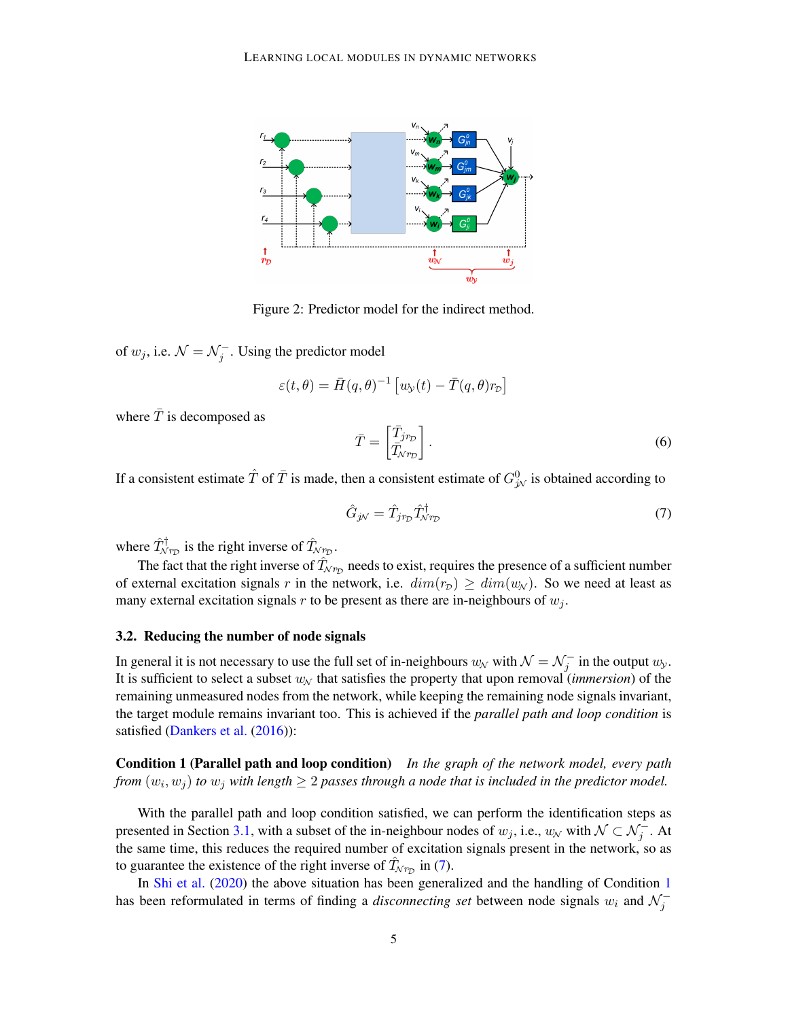

<span id="page-4-0"></span>Figure 2: Predictor model for the indirect method.

of  $w_j$ , i.e.  $\mathcal{N} = \mathcal{N}_j^-$ . Using the predictor model

$$
\varepsilon(t,\theta) = \bar{H}(q,\theta)^{-1} \left[ w_{\mathcal{Y}}(t) - \bar{T}(q,\theta)r_{\mathcal{D}} \right]
$$

where  $\bar{T}$  is decomposed as

$$
\bar{T} = \begin{bmatrix} \bar{T}_{jrp} \\ \bar{T}_{\mathcal{N}r_{\mathcal{D}}} \end{bmatrix} . \tag{6}
$$

If a consistent estimate  $\hat{T}$  of  $\bar{T}$  is made, then a consistent estimate of  $G_{j\!N}^0$  is obtained according to

<span id="page-4-1"></span>
$$
\hat{G}_{j\mathcal{N}} = \hat{T}_{jrp} \hat{T}_{\mathcal{N}rp}^{\dagger} \tag{7}
$$

where  $\hat{T}^{\dagger}_{N_{\text{PD}}}$  is the right inverse of  $\hat{T}_{N_{\text{PD}}}$ .

The fact that the right inverse of  $\hat{T}_{\mathcal{N}\mathit{r_D}}$  needs to exist, requires the presence of a sufficient number of external excitation signals r in the network, i.e.  $dim(r_D) \geq dim(w_N)$ . So we need at least as many external excitation signals  $r$  to be present as there are in-neighbours of  $w_j$ .

#### 3.2. Reducing the number of node signals

In general it is not necessary to use the full set of in-neighbours  $w_N$  with  $\mathcal{N} = \mathcal{N}_j^-$  in the output  $w_\mathcal{Y}$ . It is sufficient to select a subset  $w_N$  that satisfies the property that upon removal *(immersion)* of the remaining unmeasured nodes from the network, while keeping the remaining node signals invariant, the target module remains invariant too. This is achieved if the *parallel path and loop condition* is satisfied [\(Dankers et al.](#page-10-2) [\(2016\)](#page-10-2)):

<span id="page-4-2"></span>Condition 1 (Parallel path and loop condition) *In the graph of the network model, every path from*  $(w_i, w_j)$  *to*  $w_j$  with length  $\geq 2$  passes through a node that is included in the predictor model.

With the parallel path and loop condition satisfied, we can perform the identification steps as presented in Section [3.1,](#page-3-0) with a subset of the in-neighbour nodes of  $w_j$ , i.e.,  $w_\mathcal{N}$  with  $\mathcal{N} \subset \mathcal{N}_j^-$ . At the same time, this reduces the required number of excitation signals present in the network, so as to guarantee the existence of the right inverse of  $\hat{T}_{Nr_D}$  in [\(7\)](#page-4-1).

In [Shi et al.](#page-11-8) [\(2020\)](#page-11-8) the above situation has been generalized and the handling of Condition [1](#page-4-2) has been reformulated in terms of finding a *disconnecting set* between node signals  $w_i$  and  $\mathcal{N}_j^-$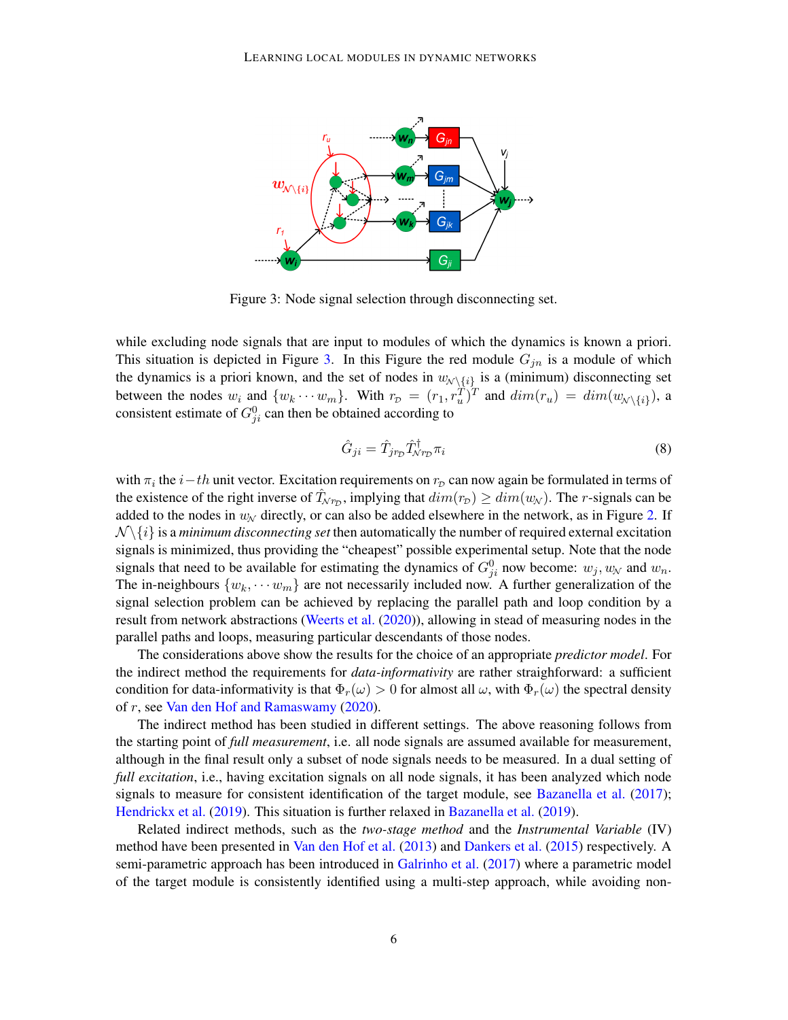

<span id="page-5-0"></span>Figure 3: Node signal selection through disconnecting set.

while excluding node signals that are input to modules of which the dynamics is known a priori. This situation is depicted in Figure [3.](#page-5-0) In this Figure the red module  $G_{jn}$  is a module of which the dynamics is a priori known, and the set of nodes in  $w_{\mathcal{N}\setminus\{i\}}$  is a (minimum) disconnecting set between the nodes  $w_i$  and  $\{w_k \cdots w_m\}$ . With  $r_{\mathcal{D}} = (r_1, r_u^T)^T$  and  $dim(r_u) = dim(w_{\mathcal{N}\setminus\{i\}})$ , a consistent estimate of  $G_{ji}^0$  can then be obtained according to

$$
\hat{G}_{ji} = \hat{T}_{jrp} \hat{T}_{Nrp}^{\dagger} \pi_i \tag{8}
$$

with  $\pi_i$  the  $i-th$  unit vector. Excitation requirements on  $r_\mathcal{D}$  can now again be formulated in terms of the existence of the right inverse of  $\hat{T}_{Nr_D}$ , implying that  $dim(r_D) \geq dim(w_N)$ . The r-signals can be added to the nodes in  $w_N$  directly, or can also be added elsewhere in the network, as in Figure [2.](#page-4-0) If  $\mathcal{N}\backslash\{i\}$  is a *minimum disconnecting set* then automatically the number of required external excitation signals is minimized, thus providing the "cheapest" possible experimental setup. Note that the node signals that need to be available for estimating the dynamics of  $G_{ji}^0$  now become:  $w_j, w_\mathcal{N}$  and  $w_n$ . The in-neighbours  $\{w_k, \dots w_m\}$  are not necessarily included now. A further generalization of the signal selection problem can be achieved by replacing the parallel path and loop condition by a result from network abstractions [\(Weerts et al.](#page-12-1) [\(2020\)](#page-12-1)), allowing in stead of measuring nodes in the parallel paths and loops, measuring particular descendants of those nodes.

The considerations above show the results for the choice of an appropriate *predictor model*. For the indirect method the requirements for *data-informativity* are rather straighforward: a sufficient condition for data-informativity is that  $\Phi_r(\omega) > 0$  for almost all  $\omega$ , with  $\Phi_r(\omega)$  the spectral density of r, see [Van den Hof and Ramaswamy](#page-11-9) [\(2020\)](#page-11-9).

The indirect method has been studied in different settings. The above reasoning follows from the starting point of *full measurement*, i.e. all node signals are assumed available for measurement, although in the final result only a subset of node signals needs to be measured. In a dual setting of *full excitation*, i.e., having excitation signals on all node signals, it has been analyzed which node signals to measure for consistent identification of the target module, see [Bazanella et al.](#page-10-3) [\(2017\)](#page-10-3); [Hendrickx et al.](#page-11-7) [\(2019\)](#page-11-7). This situation is further relaxed in [Bazanella et al.](#page-10-1) [\(2019\)](#page-10-1).

Related indirect methods, such as the *two-stage method* and the *Instrumental Variable* (IV) method have been presented in [Van den Hof et al.](#page-11-1) [\(2013\)](#page-11-1) and [Dankers et al.](#page-10-4) [\(2015\)](#page-10-4) respectively. A semi-parametric approach has been introduced in [Galrinho et al.](#page-10-5) [\(2017\)](#page-10-5) where a parametric model of the target module is consistently identified using a multi-step approach, while avoiding non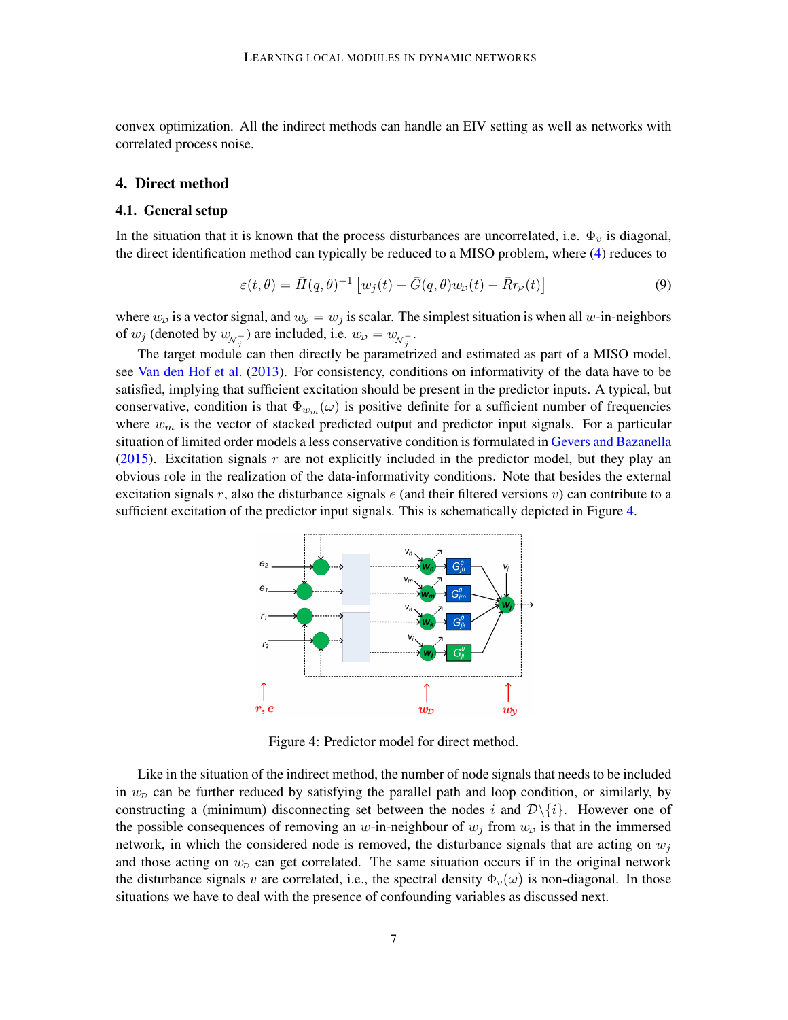convex optimization. All the indirect methods can handle an EIV setting as well as networks with correlated process noise.

### 4. Direct method

### 4.1. General setup

In the situation that it is known that the process disturbances are uncorrelated, i.e.  $\Phi_v$  is diagonal, the direct identification method can typically be reduced to a MISO problem, where [\(4\)](#page-2-1) reduces to

$$
\varepsilon(t,\theta) = \bar{H}(q,\theta)^{-1} \left[ w_j(t) - \bar{G}(q,\theta)w_p(t) - \bar{R}r_p(t) \right]
$$
\n(9)

where  $w_D$  is a vector signal, and  $w_y = w_j$  is scalar. The simplest situation is when all w-in-neighbors of  $w_j$  (denoted by  $w_{\mathcal{N}_j^-}$ ) are included, i.e.  $w_{\mathcal{D}} = w_{\mathcal{N}_j^-}$ .

The target module can then directly be parametrized and estimated as part of a MISO model, see [Van den Hof et al.](#page-11-1) [\(2013\)](#page-11-1). For consistency, conditions on informativity of the data have to be satisfied, implying that sufficient excitation should be present in the predictor inputs. A typical, but conservative, condition is that  $\Phi_{w_m}(\omega)$  is positive definite for a sufficient number of frequencies where  $w_m$  is the vector of stacked predicted output and predictor input signals. For a particular situation of limited order models a less conservative condition is formulated in [Gevers and Bazanella](#page-10-6) [\(2015\)](#page-10-6). Excitation signals  $r$  are not explicitly included in the predictor model, but they play an obvious role in the realization of the data-informativity conditions. Note that besides the external excitation signals r, also the disturbance signals  $e$  (and their filtered versions v) can contribute to a sufficient excitation of the predictor input signals. This is schematically depicted in Figure [4.](#page-6-0)



<span id="page-6-0"></span>Figure 4: Predictor model for direct method.

Like in the situation of the indirect method, the number of node signals that needs to be included in  $w<sub>D</sub>$  can be further reduced by satisfying the parallel path and loop condition, or similarly, by constructing a (minimum) disconnecting set between the nodes i and  $\mathcal{D}\setminus\{i\}$ . However one of the possible consequences of removing an w-in-neighbour of  $w_j$  from  $w_p$  is that in the immersed network, in which the considered node is removed, the disturbance signals that are acting on  $w_i$ and those acting on  $w<sub>p</sub>$  can get correlated. The same situation occurs if in the original network the disturbance signals v are correlated, i.e., the spectral density  $\Phi_v(\omega)$  is non-diagonal. In those situations we have to deal with the presence of confounding variables as discussed next.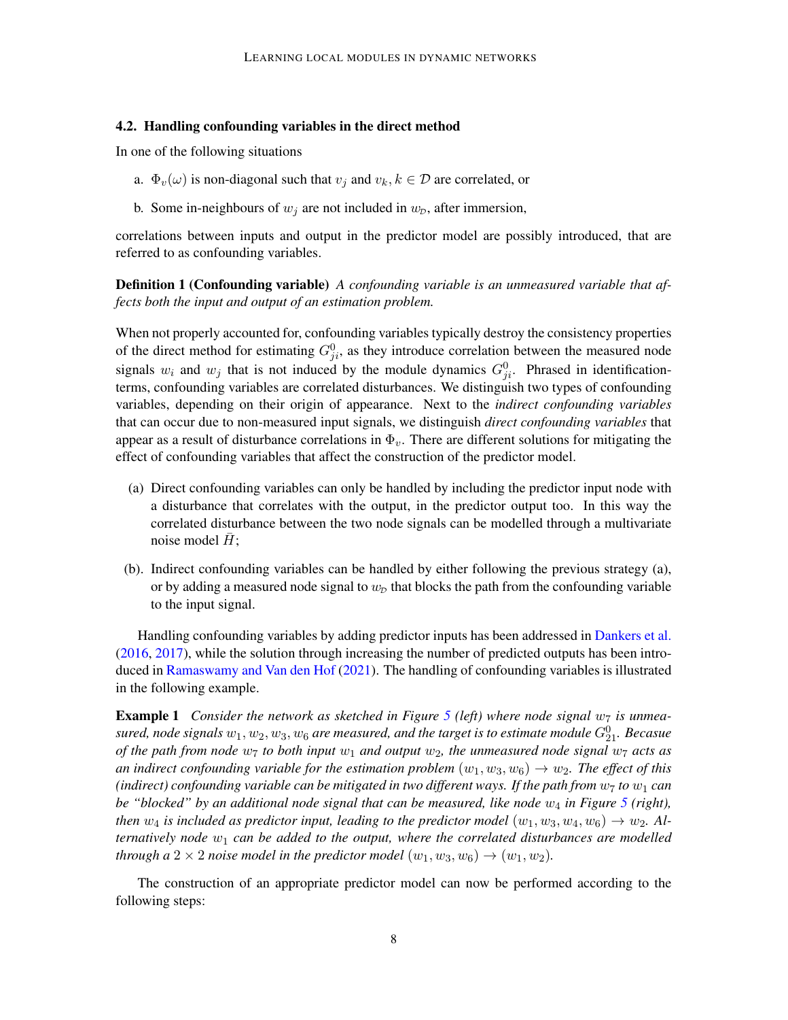#### 4.2. Handling confounding variables in the direct method

In one of the following situations

- a.  $\Phi_v(\omega)$  is non-diagonal such that  $v_j$  and  $v_k, k \in \mathcal{D}$  are correlated, or
- b. Some in-neighbours of  $w_j$  are not included in  $w_p$ , after immersion,

correlations between inputs and output in the predictor model are possibly introduced, that are referred to as confounding variables.

Definition 1 (Confounding variable) *A confounding variable is an unmeasured variable that affects both the input and output of an estimation problem.*

When not properly accounted for, confounding variables typically destroy the consistency properties of the direct method for estimating  $G_{ji}^0$ , as they introduce correlation between the measured node signals  $w_i$  and  $w_j$  that is not induced by the module dynamics  $G_{ji}^0$ . Phrased in identificationterms, confounding variables are correlated disturbances. We distinguish two types of confounding variables, depending on their origin of appearance. Next to the *indirect confounding variables* that can occur due to non-measured input signals, we distinguish *direct confounding variables* that appear as a result of disturbance correlations in  $\Phi_v$ . There are different solutions for mitigating the effect of confounding variables that affect the construction of the predictor model.

- (a) Direct confounding variables can only be handled by including the predictor input node with a disturbance that correlates with the output, in the predictor output too. In this way the correlated disturbance between the two node signals can be modelled through a multivariate noise model  $H$ ;
- (b). Indirect confounding variables can be handled by either following the previous strategy (a), or by adding a measured node signal to  $w<sub>p</sub>$  that blocks the path from the confounding variable to the input signal.

Handling confounding variables by adding predictor inputs has been addressed in [Dankers et al.](#page-10-2) [\(2016,](#page-10-2) [2017\)](#page-10-7), while the solution through increasing the number of predicted outputs has been introduced in [Ramaswamy and Van den Hof](#page-11-2) [\(2021\)](#page-11-2). The handling of confounding variables is illustrated in the following example.

<span id="page-7-0"></span>**Example 1** Consider the network as sketched in Figure [5](#page-8-0) (left) where node signal  $w_7$  is unmeasured, node signals  $w_1, w_2, w_3, w_6$  are measured, and the target is to estimate module  $G_{21}^0$ . Becasue *of the path from node*  $w_7$  *to both input*  $w_1$  *and output*  $w_2$ *, the unmeasured node signal*  $w_7$  *acts as an indirect confounding variable for the estimation problem*  $(w_1, w_3, w_6) \rightarrow w_2$ *. The effect of this (indirect) confounding variable can be mitigated in two different ways. If the path from*  $w_7$  *to*  $w_1$  *can be "blocked" by an additional node signal that can be measured, like node*  $w_4$  *in Figure* [5](#page-8-0) (*right*), *then*  $w_4$  *is included as predictor input, leading to the predictor model*  $(w_1, w_3, w_4, w_6) \rightarrow w_2$ *. Alternatively node*  $w_1$  *can be added to the output, where the correlated disturbances are modelled through a*  $2 \times 2$  *noise model in the predictor model*  $(w_1, w_3, w_6) \rightarrow (w_1, w_2)$ *.* 

The construction of an appropriate predictor model can now be performed according to the following steps: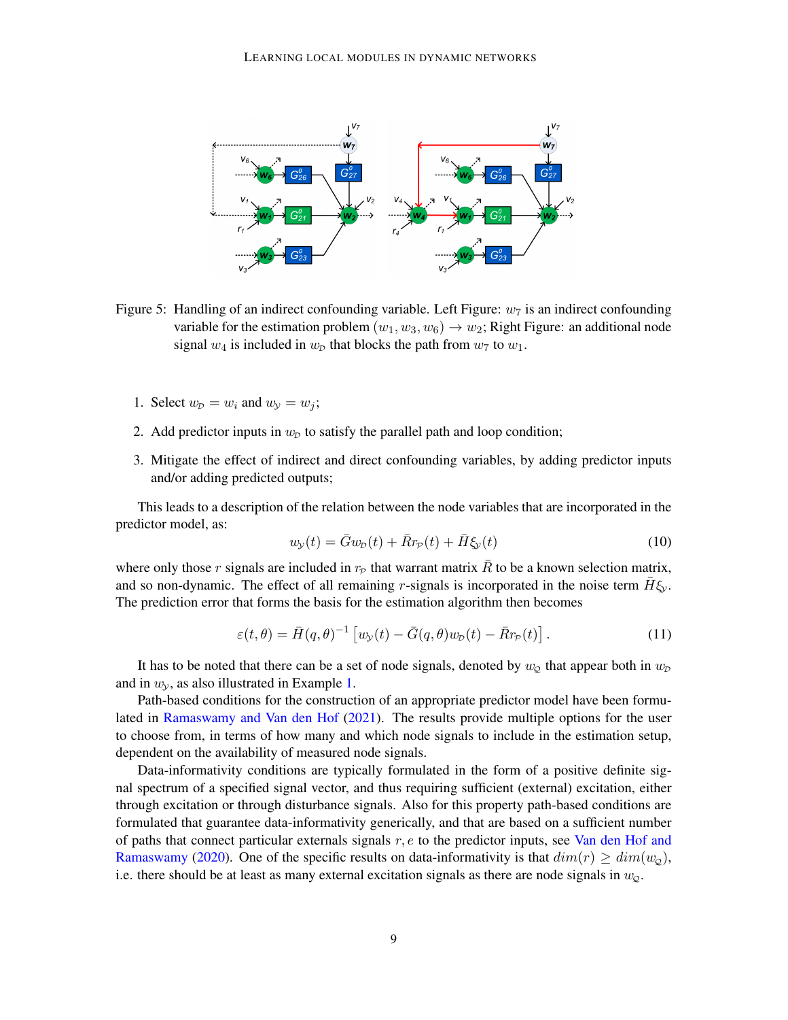

<span id="page-8-0"></span>Figure 5: Handling of an indirect confounding variable. Left Figure:  $w_7$  is an indirect confounding variable for the estimation problem  $(w_1, w_3, w_6) \rightarrow w_2$ ; Right Figure: an additional node signal  $w_4$  is included in  $w_p$  that blocks the path from  $w_7$  to  $w_1$ .

- 1. Select  $w_p = w_i$  and  $w_y = w_j$ ;
- 2. Add predictor inputs in  $w<sub>D</sub>$  to satisfy the parallel path and loop condition;
- 3. Mitigate the effect of indirect and direct confounding variables, by adding predictor inputs and/or adding predicted outputs;

This leads to a description of the relation between the node variables that are incorporated in the predictor model, as:

$$
w_{\mathcal{Y}}(t) = \bar{G}w_{\mathcal{D}}(t) + \bar{R}r_{\mathcal{P}}(t) + \bar{H}\xi_{\mathcal{Y}}(t)
$$
\n
$$
(10)
$$

where only those r signals are included in  $r_P$  that warrant matrix  $\bar{R}$  to be a known selection matrix, and so non-dynamic. The effect of all remaining r-signals is incorporated in the noise term  $\bar{H}\xi_y$ . The prediction error that forms the basis for the estimation algorithm then becomes

$$
\varepsilon(t,\theta) = \bar{H}(q,\theta)^{-1} \left[ w_{\mathcal{Y}}(t) - \bar{G}(q,\theta)w_{\mathcal{D}}(t) - \bar{R}r_{\mathcal{P}}(t) \right]. \tag{11}
$$

It has to be noted that there can be a set of node signals, denoted by  $w_{\mathcal{Q}}$  that appear both in  $w_{\mathcal{D}}$ and in  $w_y$ , as also illustrated in Example [1.](#page-7-0)

Path-based conditions for the construction of an appropriate predictor model have been formulated in [Ramaswamy and Van den Hof](#page-11-2) [\(2021\)](#page-11-2). The results provide multiple options for the user to choose from, in terms of how many and which node signals to include in the estimation setup, dependent on the availability of measured node signals.

Data-informativity conditions are typically formulated in the form of a positive definite signal spectrum of a specified signal vector, and thus requiring sufficient (external) excitation, either through excitation or through disturbance signals. Also for this property path-based conditions are formulated that guarantee data-informativity generically, and that are based on a sufficient number of paths that connect particular externals signals  $r, e$  to the predictor inputs, see [Van den Hof and](#page-11-9) [Ramaswamy](#page-11-9) [\(2020\)](#page-11-9). One of the specific results on data-informativity is that  $dim(r) \geq dim(w<sub>Q</sub>)$ , i.e. there should be at least as many external excitation signals as there are node signals in  $w_{\mathcal{Q}}$ .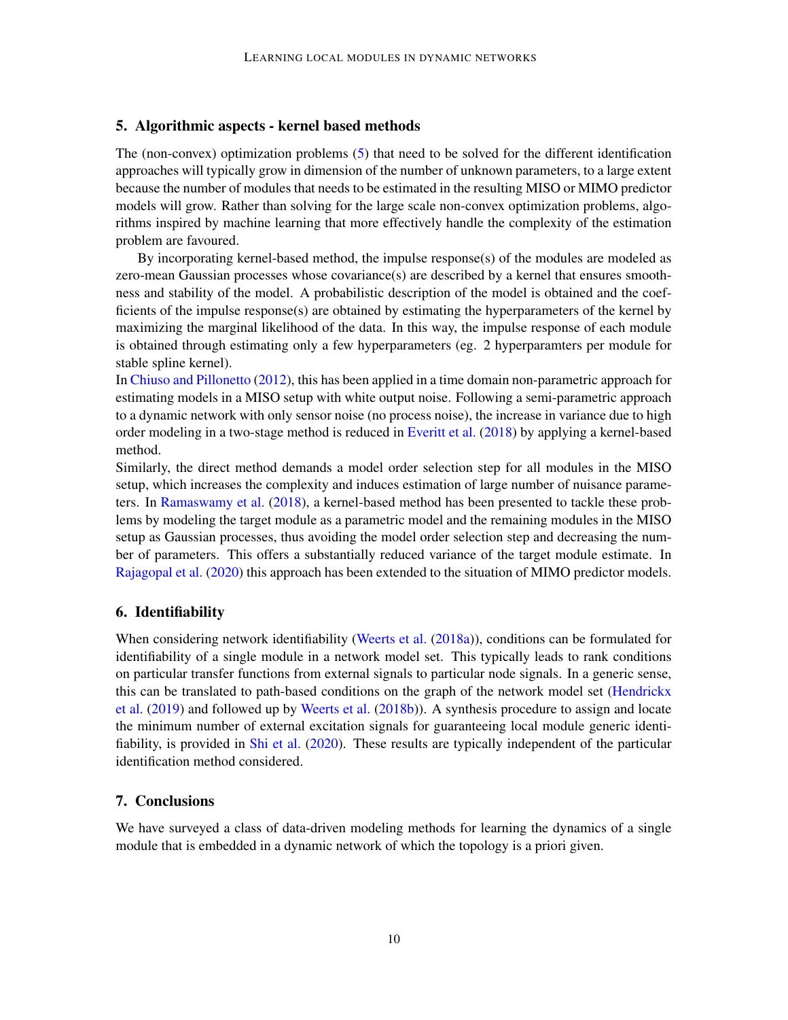### <span id="page-9-0"></span>5. Algorithmic aspects - kernel based methods

The (non-convex) optimization problems [\(5\)](#page-2-3) that need to be solved for the different identification approaches will typically grow in dimension of the number of unknown parameters, to a large extent because the number of modules that needs to be estimated in the resulting MISO or MIMO predictor models will grow. Rather than solving for the large scale non-convex optimization problems, algorithms inspired by machine learning that more effectively handle the complexity of the estimation problem are favoured.

By incorporating kernel-based method, the impulse response(s) of the modules are modeled as zero-mean Gaussian processes whose covariance(s) are described by a kernel that ensures smoothness and stability of the model. A probabilistic description of the model is obtained and the coefficients of the impulse response(s) are obtained by estimating the hyperparameters of the kernel by maximizing the marginal likelihood of the data. In this way, the impulse response of each module is obtained through estimating only a few hyperparameters (eg. 2 hyperparamters per module for stable spline kernel).

In [Chiuso and Pillonetto](#page-10-8) [\(2012\)](#page-10-8), this has been applied in a time domain non-parametric approach for estimating models in a MISO setup with white output noise. Following a semi-parametric approach to a dynamic network with only sensor noise (no process noise), the increase in variance due to high order modeling in a two-stage method is reduced in [Everitt et al.](#page-10-9) [\(2018\)](#page-10-9) by applying a kernel-based method.

Similarly, the direct method demands a model order selection step for all modules in the MISO setup, which increases the complexity and induces estimation of large number of nuisance parameters. In [Ramaswamy et al.](#page-11-10) [\(2018\)](#page-11-10), a kernel-based method has been presented to tackle these problems by modeling the target module as a parametric model and the remaining modules in the MISO setup as Gaussian processes, thus avoiding the model order selection step and decreasing the number of parameters. This offers a substantially reduced variance of the target module estimate. In [Rajagopal et al.](#page-11-11) [\(2020\)](#page-11-11) this approach has been extended to the situation of MIMO predictor models.

### 6. Identifiability

When considering network identifiability [\(Weerts et al.](#page-11-12) [\(2018a\)](#page-11-12)), conditions can be formulated for identifiability of a single module in a network model set. This typically leads to rank conditions on particular transfer functions from external signals to particular node signals. In a generic sense, this can be translated to path-based conditions on the graph of the network model set [\(Hendrickx](#page-11-7) [et al.](#page-11-7) [\(2019\)](#page-11-7) and followed up by [Weerts et al.](#page-12-3) [\(2018b\)](#page-12-3)). A synthesis procedure to assign and locate the minimum number of external excitation signals for guaranteeing local module generic identifiability, is provided in [Shi et al.](#page-11-8) [\(2020\)](#page-11-8). These results are typically independent of the particular identification method considered.

### 7. Conclusions

We have surveyed a class of data-driven modeling methods for learning the dynamics of a single module that is embedded in a dynamic network of which the topology is a priori given.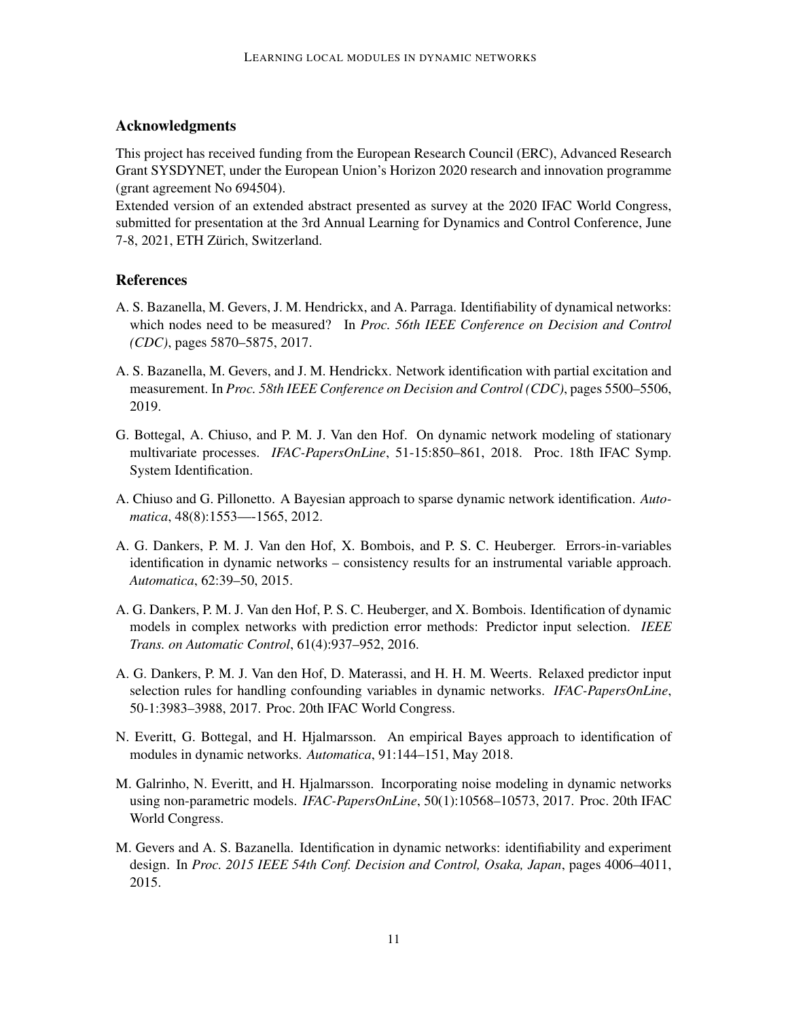### Acknowledgments

This project has received funding from the European Research Council (ERC), Advanced Research Grant SYSDYNET, under the European Union's Horizon 2020 research and innovation programme (grant agreement No 694504).

Extended version of an extended abstract presented as survey at the 2020 IFAC World Congress, submitted for presentation at the 3rd Annual Learning for Dynamics and Control Conference, June 7-8, 2021, ETH Zürich, Switzerland.

# **References**

- <span id="page-10-3"></span>A. S. Bazanella, M. Gevers, J. M. Hendrickx, and A. Parraga. Identifiability of dynamical networks: which nodes need to be measured? In *Proc. 56th IEEE Conference on Decision and Control (CDC)*, pages 5870–5875, 2017.
- <span id="page-10-1"></span>A. S. Bazanella, M. Gevers, and J. M. Hendrickx. Network identification with partial excitation and measurement. In *Proc. 58th IEEE Conference on Decision and Control (CDC)*, pages 5500–5506, 2019.
- <span id="page-10-0"></span>G. Bottegal, A. Chiuso, and P. M. J. Van den Hof. On dynamic network modeling of stationary multivariate processes. *IFAC-PapersOnLine*, 51-15:850–861, 2018. Proc. 18th IFAC Symp. System Identification.
- <span id="page-10-8"></span>A. Chiuso and G. Pillonetto. A Bayesian approach to sparse dynamic network identification. *Automatica*, 48(8):1553—-1565, 2012.
- <span id="page-10-4"></span>A. G. Dankers, P. M. J. Van den Hof, X. Bombois, and P. S. C. Heuberger. Errors-in-variables identification in dynamic networks – consistency results for an instrumental variable approach. *Automatica*, 62:39–50, 2015.
- <span id="page-10-2"></span>A. G. Dankers, P. M. J. Van den Hof, P. S. C. Heuberger, and X. Bombois. Identification of dynamic models in complex networks with prediction error methods: Predictor input selection. *IEEE Trans. on Automatic Control*, 61(4):937–952, 2016.
- <span id="page-10-7"></span>A. G. Dankers, P. M. J. Van den Hof, D. Materassi, and H. H. M. Weerts. Relaxed predictor input selection rules for handling confounding variables in dynamic networks. *IFAC-PapersOnLine*, 50-1:3983–3988, 2017. Proc. 20th IFAC World Congress.
- <span id="page-10-9"></span>N. Everitt, G. Bottegal, and H. Hjalmarsson. An empirical Bayes approach to identification of modules in dynamic networks. *Automatica*, 91:144–151, May 2018.
- <span id="page-10-5"></span>M. Galrinho, N. Everitt, and H. Hjalmarsson. Incorporating noise modeling in dynamic networks using non-parametric models. *IFAC-PapersOnLine*, 50(1):10568–10573, 2017. Proc. 20th IFAC World Congress.
- <span id="page-10-6"></span>M. Gevers and A. S. Bazanella. Identification in dynamic networks: identifiability and experiment design. In *Proc. 2015 IEEE 54th Conf. Decision and Control, Osaka, Japan*, pages 4006–4011, 2015.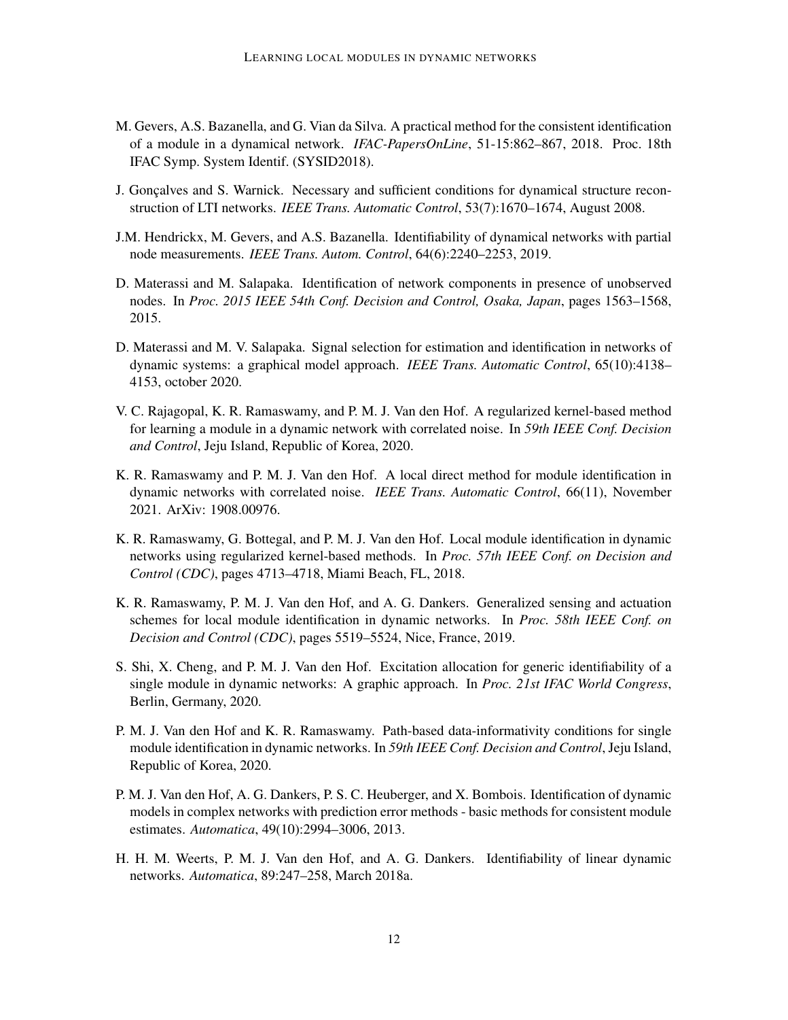- <span id="page-11-6"></span>M. Gevers, A.S. Bazanella, and G. Vian da Silva. A practical method for the consistent identification of a module in a dynamical network. *IFAC-PapersOnLine*, 51-15:862–867, 2018. Proc. 18th IFAC Symp. System Identif. (SYSID2018).
- <span id="page-11-0"></span>J. Gonçalves and S. Warnick. Necessary and sufficient conditions for dynamical structure reconstruction of LTI networks. *IEEE Trans. Automatic Control*, 53(7):1670–1674, August 2008.
- <span id="page-11-7"></span>J.M. Hendrickx, M. Gevers, and A.S. Bazanella. Identifiability of dynamical networks with partial node measurements. *IEEE Trans. Autom. Control*, 64(6):2240–2253, 2019.
- <span id="page-11-4"></span>D. Materassi and M. Salapaka. Identification of network components in presence of unobserved nodes. In *Proc. 2015 IEEE 54th Conf. Decision and Control, Osaka, Japan*, pages 1563–1568, 2015.
- <span id="page-11-5"></span>D. Materassi and M. V. Salapaka. Signal selection for estimation and identification in networks of dynamic systems: a graphical model approach. *IEEE Trans. Automatic Control*, 65(10):4138– 4153, october 2020.
- <span id="page-11-11"></span>V. C. Rajagopal, K. R. Ramaswamy, and P. M. J. Van den Hof. A regularized kernel-based method for learning a module in a dynamic network with correlated noise. In *59th IEEE Conf. Decision and Control*, Jeju Island, Republic of Korea, 2020.
- <span id="page-11-2"></span>K. R. Ramaswamy and P. M. J. Van den Hof. A local direct method for module identification in dynamic networks with correlated noise. *IEEE Trans. Automatic Control*, 66(11), November 2021. ArXiv: 1908.00976.
- <span id="page-11-10"></span>K. R. Ramaswamy, G. Bottegal, and P. M. J. Van den Hof. Local module identification in dynamic networks using regularized kernel-based methods. In *Proc. 57th IEEE Conf. on Decision and Control (CDC)*, pages 4713–4718, Miami Beach, FL, 2018.
- <span id="page-11-3"></span>K. R. Ramaswamy, P. M. J. Van den Hof, and A. G. Dankers. Generalized sensing and actuation schemes for local module identification in dynamic networks. In *Proc. 58th IEEE Conf. on Decision and Control (CDC)*, pages 5519–5524, Nice, France, 2019.
- <span id="page-11-8"></span>S. Shi, X. Cheng, and P. M. J. Van den Hof. Excitation allocation for generic identifiability of a single module in dynamic networks: A graphic approach. In *Proc. 21st IFAC World Congress*, Berlin, Germany, 2020.
- <span id="page-11-9"></span>P. M. J. Van den Hof and K. R. Ramaswamy. Path-based data-informativity conditions for single module identification in dynamic networks. In *59th IEEE Conf. Decision and Control*, Jeju Island, Republic of Korea, 2020.
- <span id="page-11-1"></span>P. M. J. Van den Hof, A. G. Dankers, P. S. C. Heuberger, and X. Bombois. Identification of dynamic models in complex networks with prediction error methods - basic methods for consistent module estimates. *Automatica*, 49(10):2994–3006, 2013.
- <span id="page-11-12"></span>H. H. M. Weerts, P. M. J. Van den Hof, and A. G. Dankers. Identifiability of linear dynamic networks. *Automatica*, 89:247–258, March 2018a.